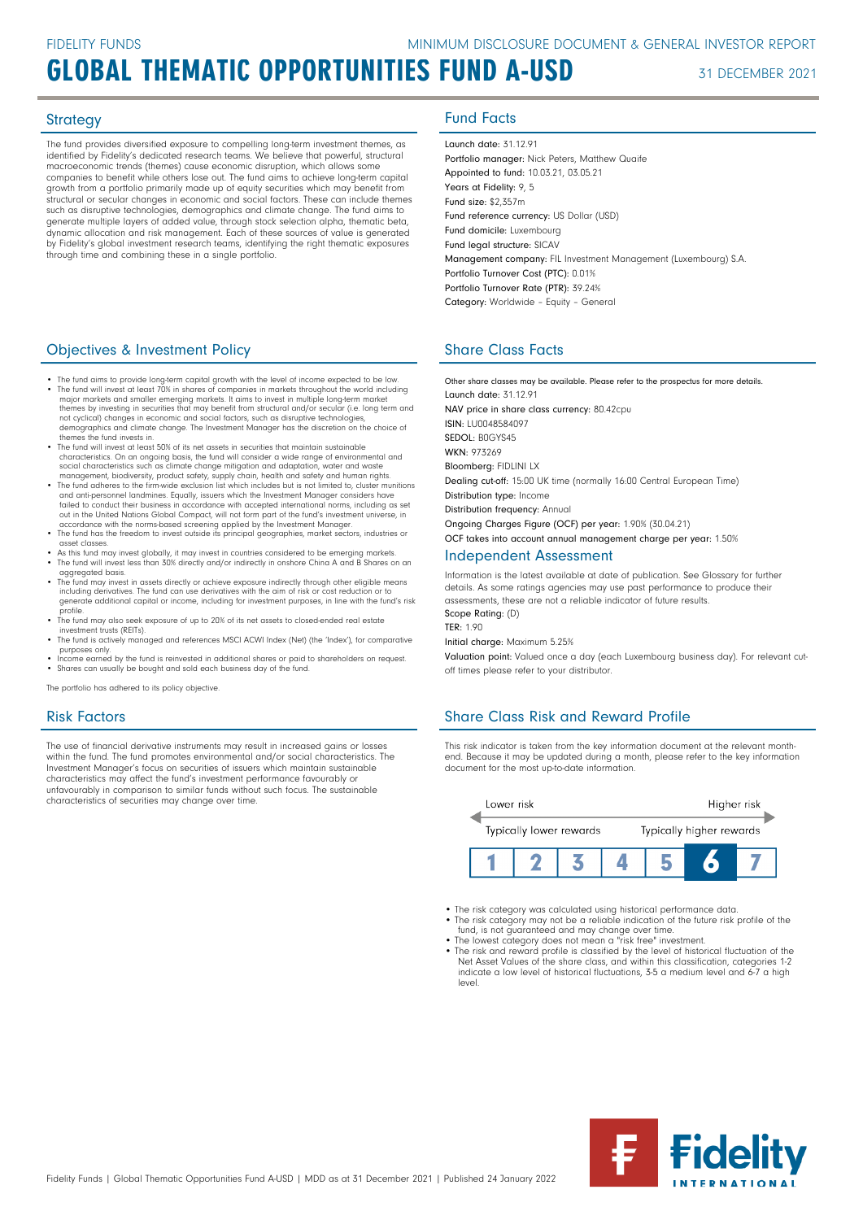The fund provides diversified exposure to compelling long-term investment themes, as identified by Fidelity's dedicated research teams. We believe that powerful, structural macroeconomic trends (themes) cause economic disruption, which allows some companies to benefit while others lose out. The fund aims to achieve long-term capital growth from a portfolio primarily made up of equity securities which may benefit from structural or secular changes in economic and social factors. These can include themes such as disruptive technologies, demographics and climate change. The fund aims to generate multiple layers of added value, through stock selection alpha, thematic beta, dynamic allocation and risk management. Each of these sources of value is generated by Fidelity's global investment research teams, identifying the right thematic exposures through time and combining these in a single portfolio.

### **Objectives & Investment Policy Share Class Facts** Share Class Facts

- The fund aims to provide long-term capital growth with the level of income expected to be low. • The fund will invest at least 70% in shares of companies in markets throughout the world including major markets and smaller emerging markets. It aims to invest in multiple long-term market
- themes by investing in securities that may benefit from structural and/or secular (i.e. long term and<br>not cyclical) changes in economic and social factors, such as disruptive technologies,<br>demographics and climate change. themes the fund invests in.
- The fund will invest at least 50% of its net assets in securities that maintain sustainable characteristics. On an ongoing basis, the fund will consider a wide range of environmental and social characteristics such as climate change mitigation and adaptation, water and waste<br>management, biodiversity, product safety, supply chain, health and safety and human rights.<br>The fund adheres to the firm-wide exclusi
- and anti-personnel landmines. Equally, issuers which the Investment Manager considers have failed to conduct their business in accordance with accepted international norms, including as set
- out in the United Nations Global Compact, will not form part of the fund's investment universe, in<br>accordance with the norms-based screening applied by the Investment Manager.<br>• The fund has the freedom to invest outside i
- asset classes. As this fund may invest globally, it may invest in countries considered to be emerging markets. The fund will invest less than 30% directly and/or indirectly in onshore China A and B Shares on an
- 
- aggregated basis. The fund may invest in assets directly or achieve exposure indirectly through other eligible means including derivatives. The fund can use derivatives with the aim of risk or cost reduction or to generate additional capital or income, including for investment purposes, in line with the fund's risk profile.
- The fund may also seek exposure of up to 20% of its net assets to closed-ended real estate investment trusts (REITs).
- The fund is actively managed and references MSCI ACWI Index (Net) (the 'Index'), for comparative purposes only.
- perpeese smy:<br>Income earned by the fund is reinvested in additional shares or paid to shareholders on request. • Shares can usually be bought and sold each business day of the fund.

The portfolio has adhered to its policy objective.

### Risk Factors

The use of financial derivative instruments may result in increased gains or losses within the fund. The fund promotes environmental and/or social characteristics. The Investment Manager's focus on securities of issuers which maintain sustainable characteristics may affect the fund's investment performance favourably or unfavourably in comparison to similar funds without such focus. The sustainable characteristics of securities may change over time.

## Strategy **Fund Facts**

Launch date: 31.12.91 Portfolio manager: Nick Peters, Matthew Quaife Appointed to fund: 10.03.21, 03.05.21 Years at Fidelity: 9, 5 Fund size: \$2,357m Fund reference currency: US Dollar (USD) Fund domicile: Luxembourg Fund legal structure: SICAV Management company: FIL Investment Management (Luxembourg) S.A. Portfolio Turnover Cost (PTC): 0.01% Portfolio Turnover Rate (PTR): 39.24% Category: Worldwide – Equity – General

Other share classes may be available. Please refer to the prospectus for more details. Launch date: 31.12.91 NAV price in share class currency: 80.42cpu ISIN: LU0048584097 SEDOL: BOGYS45 WKN: 973269 Bloomberg: FIDLINI LX Dealing cut-off: 15:00 UK time (normally 16:00 Central European Time) Distribution type: Income Distribution frequency: Annual Ongoing Charges Figure (OCF) per year: 1.90% (30.04.21) OCF takes into account annual management charge per year: 1.50% Independent Assessment

Information is the latest available at date of publication. See Glossary for further details. As some ratings agencies may use past performance to produce their assessments, these are not a reliable indicator of future results. Scope Rating: (D)

TER: 1.90

Initial charge: Maximum 5.25%

Valuation point: Valued once a day (each Luxembourg business day). For relevant cutoff times please refer to your distributor.

### Share Class Risk and Reward Profile

This risk indicator is taken from the key information document at the relevant monthend. Because it may be updated during a month, please refer to the key information document for the most up-to-date information.



- The risk category was calculated using historical performance data.
- The risk category may not be a reliable indication of the future risk profile of the fund, is not guaranteed and may change over time. The lowest category does not mean a "risk free" investment.
- 
- The risk and reward profile is classified by the level of historical fluctuation of the Net Asset Values of the share class, and within this classification, categories 1-2 indicate a low level of historical fluctuations, 3-5 a medium level and 6-7 a high level.

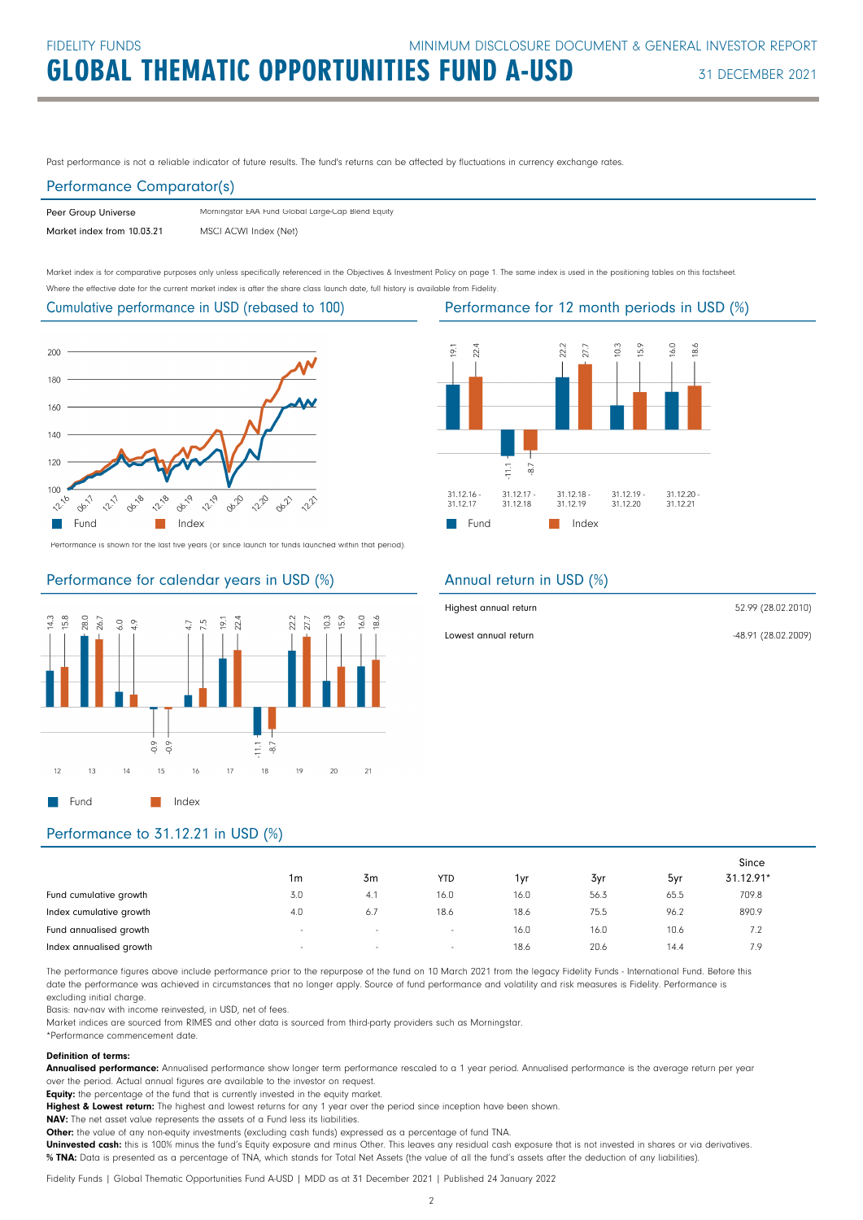Past performance is not a reliable indicator of future results. The fund's returns can be affected by fluctuations in currency exchange rates.

### Performance Comparator(s)

| Peer Group Universe        | Morningstar EAA Fund Global Large-Cap Blend Equity |
|----------------------------|----------------------------------------------------|
| Market index from 10.03.21 | MSCI ACWI Index (Net)                              |

Market index is for comparative purposes only unless specifically referenced in the Objectives & Investment Policy on page 1. The same index is used in the positioning tables on this factsheet. Where the effective date for the current market index is after the share class launch date, full history is available from Fidelity.

### Cumulative performance in USD (rebased to 100)



Performance is shown for the last five years (or since launch for funds launched within that period).

### Performance for calendar years in USD (%)







### Annual return in USD (%)

| Highest annual return | 52.99 (28.02.2010)  |
|-----------------------|---------------------|
| Lowest annual return  | -48.91 (28.02.2009) |

## Performance to 31.12.21 in USD (%)

|                         |                          |        |            |      |      |      | Since     |  |
|-------------------------|--------------------------|--------|------------|------|------|------|-----------|--|
|                         | 1m                       | 3m     | <b>YTD</b> | 1yr  | 3yr  | 5yr  | 31.12.91* |  |
| Fund cumulative growth  | 3.0                      | 4.1    | 16.0       | 16.0 | 56.3 | 65.5 | 709.8     |  |
| Index cumulative growth | 4.0                      | 6.7    | 18.6       | 18.6 | 75.5 | 96.2 | 890.9     |  |
| Fund annualised growth  | $\overline{\phantom{a}}$ | $\sim$ | $\sim$     | 16.0 | 16.0 | 10.6 | 7.2       |  |
| Index annualised growth | $\sim$                   | $\sim$ | $\sim$     | 18.6 | 20.6 | 14.4 | 7.9       |  |

The performance figures above include performance prior to the repurpose of the fund on 10 March 2021 from the legacy Fidelity Funds - International Fund. Before this date the performance was achieved in circumstances that no longer apply. Source of fund performance and volatility and risk measures is Fidelity. Performance is excluding initial charge.

Basis: nav-nav with income reinvested, in USD, net of fees.

Market indices are sourced from RIMES and other data is sourced from third-party providers such as Morningstar.

\*Performance commencement date.

### Definition of terms:

Annualised performance: Annualised performance show longer term performance rescaled to a 1 year period. Annualised performance is the average return per year over the period. Actual annual figures are available to the investor on request.

Equity: the percentage of the fund that is currently invested in the equity market.

Highest & Lowest return: The highest and lowest returns for any 1 year over the period since inception have been shown.

NAV: The net asset value represents the assets of a Fund less its liabilities.

Other: the value of any non-equity investments (excluding cash funds) expressed as a percentage of fund TNA.

Uninvested cash: this is 100% minus the fund's Equity exposure and minus Other. This leaves any residual cash exposure that is not invested in shares or via derivatives. % TNA: Data is presented as a percentage of TNA, which stands for Total Net Assets (the value of all the fund's assets after the deduction of any liabilities).

Fidelity Funds | Global Thematic Opportunities Fund A-USD | MDD as at 31 December 2021 | Published 24 January 2022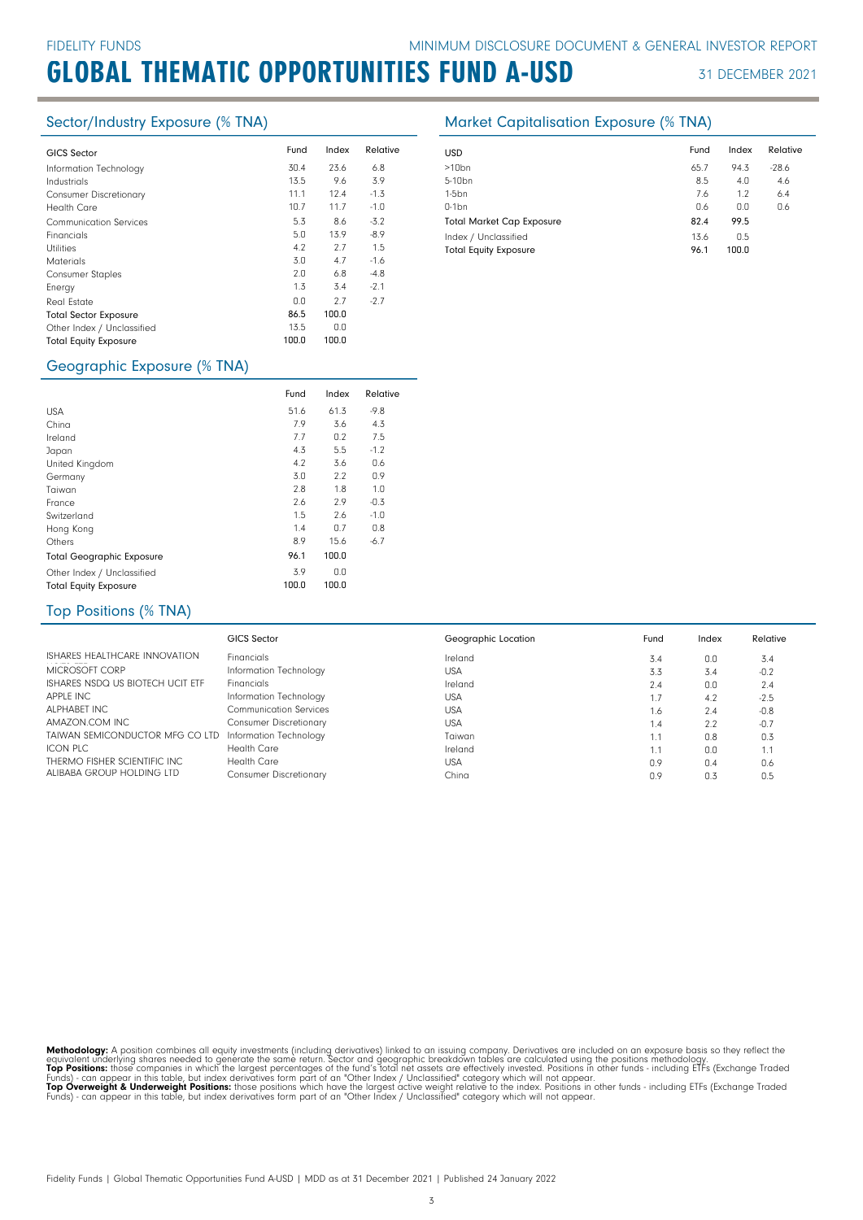| <b>GICS Sector</b>            | Fund  | Index | Relative |
|-------------------------------|-------|-------|----------|
| Information Technology        | 30.4  | 23.6  | 6.8      |
| Industrials                   | 13.5  | 9.6   | 3.9      |
| <b>Consumer Discretionary</b> | 11.1  | 12.4  | $-1.3$   |
| <b>Health Care</b>            | 10.7  | 11.7  | $-1.0$   |
| <b>Communication Services</b> | 5.3   | 8.6   | $-3.2$   |
| Financials                    | 5.0   | 13.9  | $-8.9$   |
| <b>Utilities</b>              | 4.2   | 2.7   | 1.5      |
| <b>Materials</b>              | 3.0   | 4.7   | $-1.6$   |
| <b>Consumer Staples</b>       | 2.0   | 6.8   | $-4.8$   |
| Energy                        | 1.3   | 3.4   | $-2.1$   |
| Real Estate                   | 0.0   | 2.7   | $-2.7$   |
| <b>Total Sector Exposure</b>  | 86.5  | 100.0 |          |
| Other Index / Unclassified    | 13.5  | 0.0   |          |
| <b>Total Equity Exposure</b>  | 100.0 | 100.0 |          |

### Geographic Exposure (% TNA)

|                                  | Fund  | Index | Relative |
|----------------------------------|-------|-------|----------|
| <b>USA</b>                       | 51.6  | 61.3  | $-9.8$   |
| China                            | 7.9   | 3.6   | 4.3      |
| Ireland                          | 7.7   | 0.2   | 7.5      |
| Japan                            | 4.3   | 5.5   | $-1.2$   |
| United Kingdom                   | 4.2   | 3.6   | 0.6      |
| Germany                          | 3.0   | 2.2   | 0.9      |
| Taiwan                           | 2.8   | 1.8   | 1.0      |
| France                           | 2.6   | 2.9   | $-0.3$   |
| Switzerland                      | 1.5   | 2.6   | $-1.0$   |
| Hong Kong                        | 1.4   | 0.7   | 0.8      |
| Others                           | 8.9   | 15.6  | $-6.7$   |
| <b>Total Geographic Exposure</b> | 96.1  | 100.0 |          |
| Other Index / Unclassified       | 3.9   | 0.0   |          |
| <b>Total Equity Exposure</b>     | 100.0 | 100.0 |          |

### Sector/Industry Exposure (% TNA) Market Capitalisation Exposure (% TNA)

| <b>USD</b>                       | Fund | Index | Relative |
|----------------------------------|------|-------|----------|
| $>10$ bn                         | 65.7 | 94.3  | $-28.6$  |
| 5-10 <sub>bn</sub>               | 8.5  | 4.0   | 4.6      |
| $1-5$ bn                         | 7.6  | 1.2   | 6.4      |
| $0-1$ bn                         | 0.6  | 0.0   | 0.6      |
| <b>Total Market Cap Exposure</b> | 82.4 | 99.5  |          |
| Index / Unclassified             | 13.6 | 0.5   |          |
| <b>Total Equity Exposure</b>     | 96.1 | 100.0 |          |

### Top Positions (% TNA)

|                                                        | GICS Sector                   | Geographic Location | Fund | Index | Relative |
|--------------------------------------------------------|-------------------------------|---------------------|------|-------|----------|
| ISHARES HEALTHCARE INNOVATION                          | <b>Financials</b>             | Ireland             | 3.4  | 0.0   | 3.4      |
| MICROSOFT CORP                                         | Information Technology        | <b>USA</b>          | 3.3  | 3.4   | $-0.2$   |
| ISHARES NSDQ US BIOTECH UCIT ETF                       | <b>Financials</b>             | Ireland             | 2.4  | 0.0   | 2.4      |
| APPLE INC                                              | Information Technology        | <b>USA</b>          | 1.7  | 4.2   | $-2.5$   |
| ALPHABET INC                                           | <b>Communication Services</b> | <b>USA</b>          | 1.6  | 7.4   | $-0.8$   |
| AMAZON.COM INC                                         | <b>Consumer Discretionary</b> | <b>USA</b>          | 1.4  | 2.2   | $-0.7$   |
| TAIWAN SEMICONDUCTOR MFG CO LTD Information Technology |                               | Taiwan              | 1.1  | 0.8   | 0.3      |
| ICON PLC                                               | <b>Health Care</b>            | Ireland             | 1.1  | 0.0   |          |
| THERMO FISHER SCIENTIFIC INC                           | <b>Health Care</b>            | <b>USA</b>          | 0.9  | 0.4   | 0.6      |
| ALIBABA GROUP HOLDING LTD                              | <b>Consumer Discretionary</b> | China               | 0.9  | 0.3   | 0.5      |

Methodology: A position combines all equity investments (including derivatives) linked to an issuing company. Derivatives are included on an exposure basis so they reflect the<br>equivalent underlying shares needed to generat